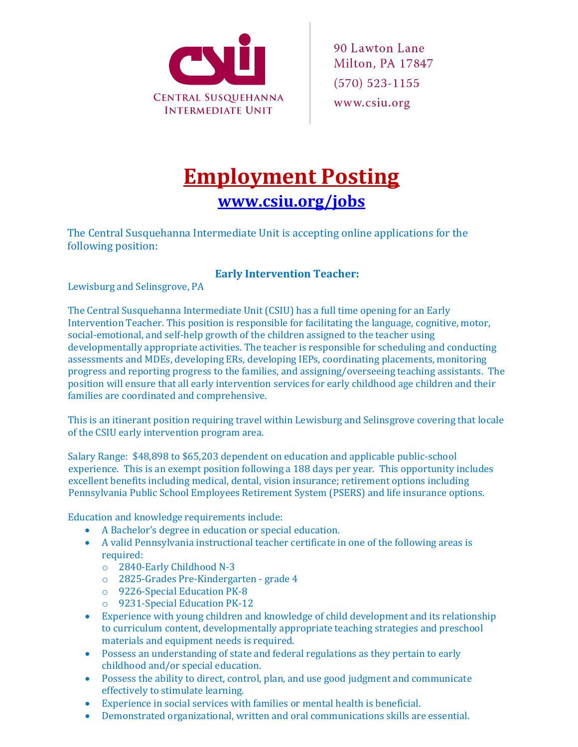

## **Employment Posting [www.csiu.org/jobs](http://www.csiu.org/jobs)**

The Central Susquehanna Intermediate Unit is accepting online applications for the following position:

## **Early Intervention Teacher:**

Lewisburg and Selinsgrove, PA

The Central Susquehanna Intermediate Unit (CSIU) has a full time opening for an Early Intervention Teacher. This position is responsible for facilitating the language, cognitive, motor, social-emotional, and self-help growth of the children assigned to the teacher using developmentally appropriate activities. The teacher is responsible for scheduling and conducting assessments and MDEs, developing ERs, developing IEPs, coordinating placements, monitoring progress and reporting progress to the families, and assigning/overseeing teaching assistants. The position will ensure that all early intervention services for early childhood age children and their families are coordinated and comprehensive.

This is an itinerant position requiring travel within Lewisburg and Selinsgrove covering that locale of the CSIU early intervention program area.

Salary Range: \$48,898 to \$65,203 dependent on education and applicable public-school experience. This is an exempt position following a 188 days per year. This opportunity includes excellent benefits including medical, dental, vision insurance; retirement options including Pennsylvania Public School Employees Retirement System (PSERS) and life insurance options.

Education and knowledge requirements include:

- A Bachelor's degree in education or special education.
- A valid Pennsylvania instructional teacher certificate in one of the following areas is required:
	- o 2840-Early Childhood N-3
	- o 2825-Grades Pre-Kindergarten grade 4
	- o 9226-Special Education PK-8
	- o 9231-Special Education PK-12
- Experience with young children and knowledge of child development and its relationship to curriculum content, developmentally appropriate teaching strategies and preschool materials and equipment needs is required.
- Possess an understanding of state and federal regulations as they pertain to early childhood and/or special education.
- Possess the ability to direct, control, plan, and use good judgment and communicate effectively to stimulate learning.
- Experience in social services with families or mental health is beneficial.
- Demonstrated organizational, written and oral communications skills are essential.